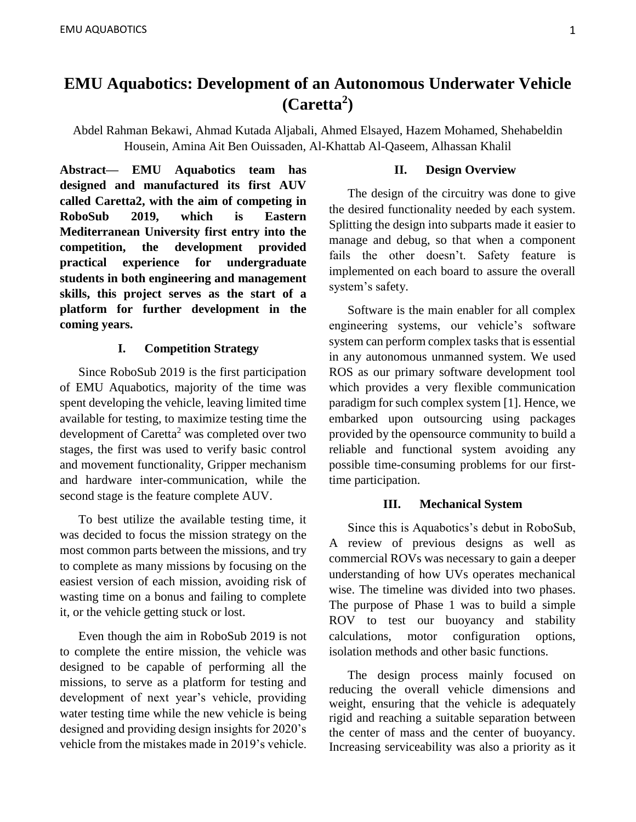## **EMU Aquabotics: Development of an Autonomous Underwater Vehicle (Caretta<sup>2</sup> )**

Abdel Rahman Bekawi, Ahmad Kutada Aljabali, Ahmed Elsayed, Hazem Mohamed, Shehabeldin Housein, Amina Ait Ben Ouissaden, Al-Khattab Al-Qaseem, Alhassan Khalil

**Abstract— EMU Aquabotics team has designed and manufactured its first AUV called Caretta2, with the aim of competing in RoboSub 2019, which is Eastern Mediterranean University first entry into the competition, the development provided practical experience for undergraduate students in both engineering and management skills, this project serves as the start of a platform for further development in the coming years.**

## **I. Competition Strategy**

Since RoboSub 2019 is the first participation of EMU Aquabotics, majority of the time was spent developing the vehicle, leaving limited time available for testing, to maximize testing time the development of Caretta<sup>2</sup> was completed over two stages, the first was used to verify basic control and movement functionality, Gripper mechanism and hardware inter-communication, while the second stage is the feature complete AUV.

To best utilize the available testing time, it was decided to focus the mission strategy on the most common parts between the missions, and try to complete as many missions by focusing on the easiest version of each mission, avoiding risk of wasting time on a bonus and failing to complete it, or the vehicle getting stuck or lost.

Even though the aim in RoboSub 2019 is not to complete the entire mission, the vehicle was designed to be capable of performing all the missions, to serve as a platform for testing and development of next year's vehicle, providing water testing time while the new vehicle is being designed and providing design insights for 2020's vehicle from the mistakes made in 2019's vehicle.

## **II. Design Overview**

The design of the circuitry was done to give the desired functionality needed by each system. Splitting the design into subparts made it easier to manage and debug, so that when a component fails the other doesn't. Safety feature is implemented on each board to assure the overall system's safety.

Software is the main enabler for all complex engineering systems, our vehicle's software system can perform complex tasks that is essential in any autonomous unmanned system. We used ROS as our primary software development tool which provides a very flexible communication paradigm for such complex system [1]. Hence, we embarked upon outsourcing using packages provided by the opensource community to build a reliable and functional system avoiding any possible time-consuming problems for our firsttime participation.

## **III. Mechanical System**

Since this is Aquabotics's debut in RoboSub, A review of previous designs as well as commercial ROVs was necessary to gain a deeper understanding of how UVs operates mechanical wise. The timeline was divided into two phases. The purpose of Phase 1 was to build a simple ROV to test our buoyancy and stability calculations, motor configuration options, isolation methods and other basic functions.

The design process mainly focused on reducing the overall vehicle dimensions and weight, ensuring that the vehicle is adequately rigid and reaching a suitable separation between the center of mass and the center of buoyancy. Increasing serviceability was also a priority as it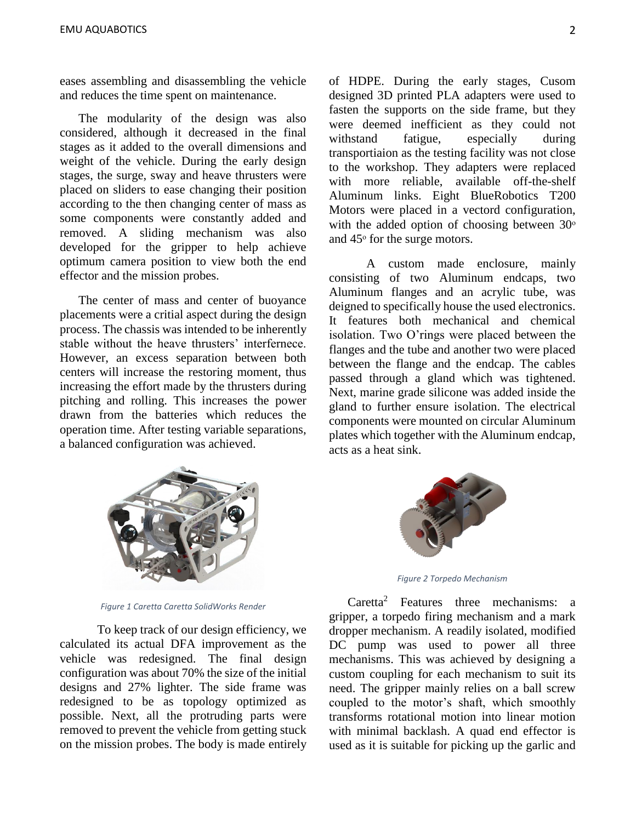eases assembling and disassembling the vehicle and reduces the time spent on maintenance.

The modularity of the design was also considered, although it decreased in the final stages as it added to the overall dimensions and weight of the vehicle. During the early design stages, the surge, sway and heave thrusters were placed on sliders to ease changing their position according to the then changing center of mass as some components were constantly added and removed. A sliding mechanism was also developed for the gripper to help achieve optimum camera position to view both the end effector and the mission probes.

The center of mass and center of buoyance placements were a critial aspect during the design process. The chassis was intended to be inherently stable without the heave thrusters' interfernece. However, an excess separation between both centers will increase the restoring moment, thus increasing the effort made by the thrusters during pitching and rolling. This increases the power drawn from the batteries which reduces the operation time. After testing variable separations, a balanced configuration was achieved.

of HDPE. During the early stages, Cusom designed 3D printed PLA adapters were used to fasten the supports on the side frame, but they were deemed inefficient as they could not withstand fatigue, especially during transportiaion as the testing facility was not close to the workshop. They adapters were replaced with more reliable, available off-the-shelf Aluminum links. Eight BlueRobotics T200 Motors were placed in a vectord configuration, with the added option of choosing between  $30^\circ$ and 45 $\degree$  for the surge motors.

A custom made enclosure, mainly consisting of two Aluminum endcaps, two Aluminum flanges and an acrylic tube, was deigned to specifically house the used electronics. It features both mechanical and chemical isolation. Two O'rings were placed between the flanges and the tube and another two were placed between the flange and the endcap. The cables passed through a gland which was tightened. Next, marine grade silicone was added inside the gland to further ensure isolation. The electrical components were mounted on circular Aluminum plates which together with the Aluminum endcap, acts as a heat sink.



*Figure 1 Caretta Caretta SolidWorks Render*

To keep track of our design efficiency, we calculated its actual DFA improvement as the vehicle was redesigned. The final design configuration was about 70% the size of the initial designs and 27% lighter. The side frame was redesigned to be as topology optimized as possible. Next, all the protruding parts were removed to prevent the vehicle from getting stuck on the mission probes. The body is made entirely



*Figure 2 Torpedo Mechanism*

Caretta<sup>2</sup> Features three mechanisms: a gripper, a torpedo firing mechanism and a mark dropper mechanism. A readily isolated, modified DC pump was used to power all three mechanisms. This was achieved by designing a custom coupling for each mechanism to suit its need. The gripper mainly relies on a ball screw coupled to the motor's shaft, which smoothly transforms rotational motion into linear motion with minimal backlash. A quad end effector is used as it is suitable for picking up the garlic and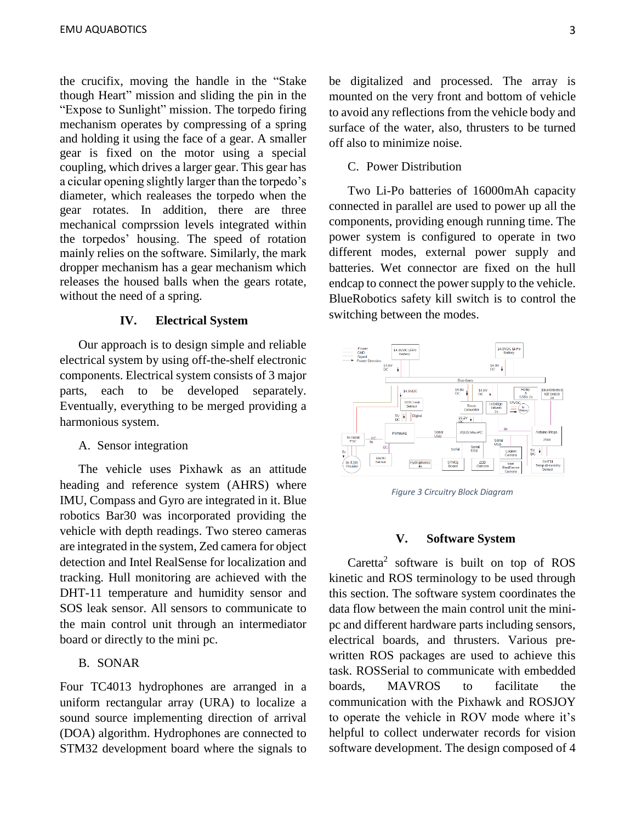the crucifix, moving the handle in the "Stake though Heart" mission and sliding the pin in the "Expose to Sunlight" mission. The torpedo firing mechanism operates by compressing of a spring and holding it using the face of a gear. A smaller gear is fixed on the motor using a special coupling, which drives a larger gear. This gear has a cicular opening slightly larger than the torpedo's diameter, which realeases the torpedo when the gear rotates. In addition, there are three mechanical comprssion levels integrated within the torpedos' housing. The speed of rotation mainly relies on the software. Similarly, the mark dropper mechanism has a gear mechanism which releases the housed balls when the gears rotate, without the need of a spring.

#### **IV. Electrical System**

Our approach is to design simple and reliable electrical system by using off-the-shelf electronic components. Electrical system consists of 3 major parts, each to be developed separately. Eventually, everything to be merged providing a harmonious system.

## A. Sensor integration

The vehicle uses Pixhawk as an attitude heading and reference system (AHRS) where IMU, Compass and Gyro are integrated in it. Blue robotics Bar30 was incorporated providing the vehicle with depth readings. Two stereo cameras are integrated in the system, Zed camera for object detection and Intel RealSense for localization and tracking. Hull monitoring are achieved with the DHT-11 temperature and humidity sensor and SOS leak sensor. All sensors to communicate to the main control unit through an intermediator board or directly to the mini pc.

## B. SONAR

Four TC4013 hydrophones are arranged in a uniform rectangular array (URA) to localize a sound source implementing direction of arrival (DOA) algorithm. Hydrophones are connected to STM32 development board where the signals to

be digitalized and processed. The array is mounted on the very front and bottom of vehicle to avoid any reflections from the vehicle body and surface of the water, also, thrusters to be turned off also to minimize noise.

### C. Power Distribution

Two Li-Po batteries of 16000mAh capacity connected in parallel are used to power up all the components, providing enough running time. The power system is configured to operate in two different modes, external power supply and batteries. Wet connector are fixed on the hull endcap to connect the power supply to the vehicle. BlueRobotics safety kill switch is to control the switching between the modes.



*Figure 3 Circuitry Block Diagram*

#### **V. Software System**

Caretta<sup>2</sup> software is built on top of ROS kinetic and ROS terminology to be used through this section. The software system coordinates the data flow between the main control unit the minipc and different hardware parts including sensors, electrical boards, and thrusters. Various prewritten ROS packages are used to achieve this task. ROSSerial to communicate with embedded boards, MAVROS to facilitate the communication with the Pixhawk and ROSJOY to operate the vehicle in ROV mode where it's helpful to collect underwater records for vision software development. The design composed of 4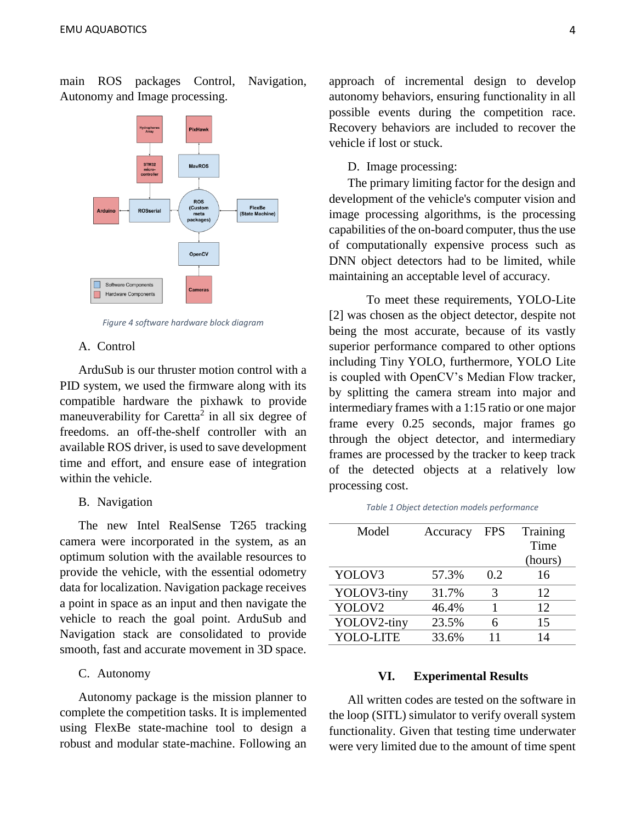

main ROS packages Control, Navigation, Autonomy and Image processing.

*Figure 4 software hardware block diagram*

#### A. Control

ArduSub is our thruster motion control with a PID system, we used the firmware along with its compatible hardware the pixhawk to provide maneuverability for Caretta<sup>2</sup> in all six degree of freedoms. an off-the-shelf controller with an available ROS driver, is used to save development time and effort, and ensure ease of integration within the vehicle.

## B. Navigation

The new Intel RealSense T265 tracking camera were incorporated in the system, as an optimum solution with the available resources to provide the vehicle, with the essential odometry data for localization. Navigation package receives a point in space as an input and then navigate the vehicle to reach the goal point. ArduSub and Navigation stack are consolidated to provide smooth, fast and accurate movement in 3D space.

### C. Autonomy

Autonomy package is the mission planner to complete the competition tasks. It is implemented using FlexBe state-machine tool to design a robust and modular state-machine. Following an

approach of incremental design to develop autonomy behaviors, ensuring functionality in all possible events during the competition race. Recovery behaviors are included to recover the vehicle if lost or stuck.

#### D. Image processing:

The primary limiting factor for the design and development of the vehicle's computer vision and image processing algorithms, is the processing capabilities of the on-board computer, thus the use of computationally expensive process such as DNN object detectors had to be limited, while maintaining an acceptable level of accuracy.

To meet these requirements, YOLO-Lite [2] was chosen as the object detector, despite not being the most accurate, because of its vastly superior performance compared to other options including Tiny YOLO, furthermore, YOLO Lite is coupled with OpenCV's Median Flow tracker, by splitting the camera stream into major and intermediary frames with a 1:15 ratio or one major frame every 0.25 seconds, major frames go through the object detector, and intermediary frames are processed by the tracker to keep track of the detected objects at a relatively low processing cost.

*Table 1 Object detection models performance*

| Model       | Accuracy | <b>FPS</b> | Training |
|-------------|----------|------------|----------|
|             |          |            | Time     |
|             |          |            | (hours)  |
| YOLOV3      | 57.3%    | 0.2        | 16       |
| YOLOV3-tiny | 31.7%    | 3          | 12       |
| YOLOV2      | 46.4%    |            | 12.      |
| YOLOV2-tiny | 23.5%    | 6          | 15       |
| YOLO-LITE   | 33.6%    |            | 14       |

#### **VI. Experimental Results**

All written codes are tested on the software in the loop (SITL) simulator to verify overall system functionality. Given that testing time underwater were very limited due to the amount of time spent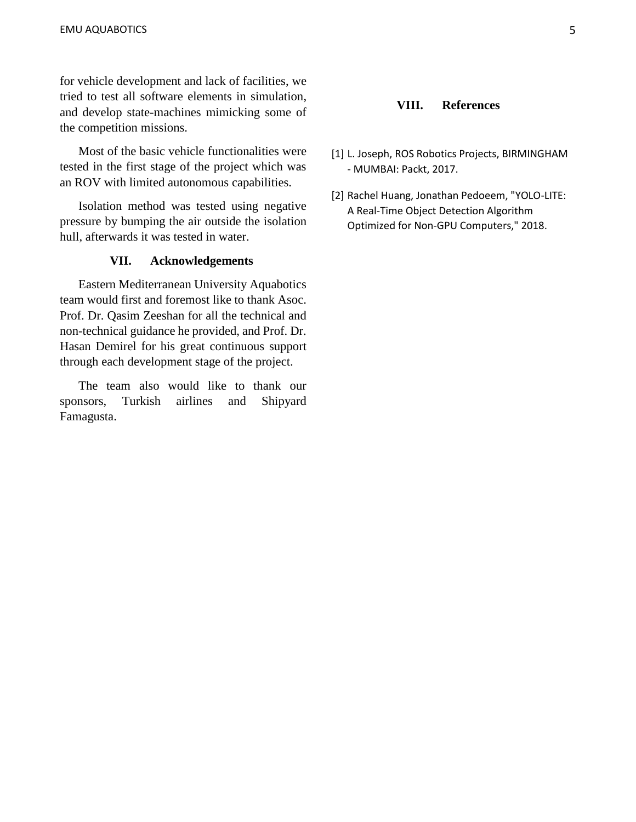for vehicle development and lack of facilities, we tried to test all software elements in simulation, and develop state-machines mimicking some of the competition missions.

Most of the basic vehicle functionalities were tested in the first stage of the project which was an ROV with limited autonomous capabilities.

Isolation method was tested using negative pressure by bumping the air outside the isolation hull, afterwards it was tested in water.

## **VII. Acknowledgements**

Eastern Mediterranean University Aquabotics team would first and foremost like to thank Asoc. Prof. Dr. Qasim Zeeshan for all the technical and non-technical guidance he provided, and Prof. Dr. Hasan Demirel for his great continuous support through each development stage of the project.

The team also would like to thank our sponsors, Turkish airlines and Shipyard Famagusta.

### **VIII. References**

- [1] L. Joseph, ROS Robotics Projects, BIRMINGHAM - MUMBAI: Packt, 2017.
- [2] Rachel Huang, Jonathan Pedoeem, "YOLO-LITE: A Real-Time Object Detection Algorithm Optimized for Non-GPU Computers," 2018.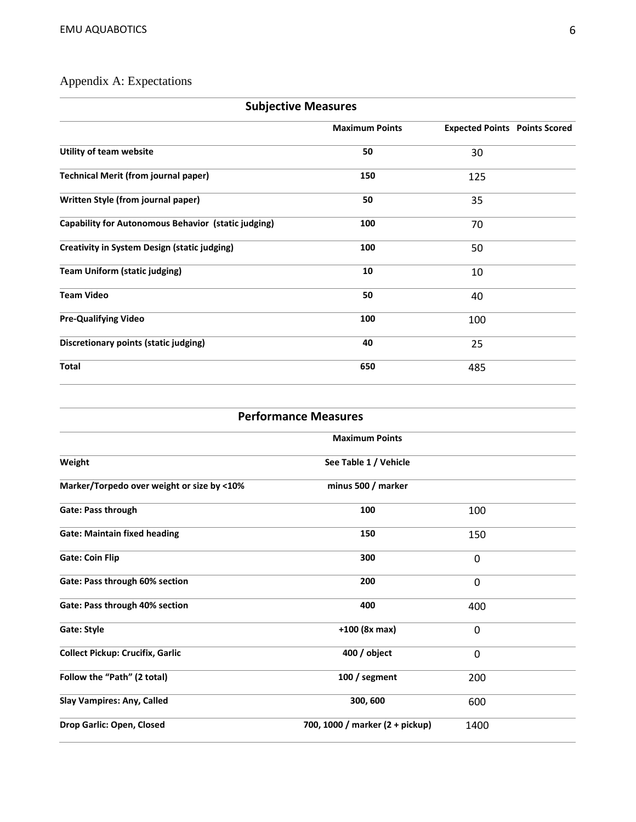# Appendix A: Expectations

| <b>Subjective Measures</b>                                 |                       |                                      |  |
|------------------------------------------------------------|-----------------------|--------------------------------------|--|
|                                                            | <b>Maximum Points</b> | <b>Expected Points Points Scored</b> |  |
| Utility of team website                                    | 50                    | 30                                   |  |
| <b>Technical Merit (from journal paper)</b>                | 150                   | 125                                  |  |
| Written Style (from journal paper)                         | 50                    | 35                                   |  |
| <b>Capability for Autonomous Behavior (static judging)</b> | 100                   | 70                                   |  |
| <b>Creativity in System Design (static judging)</b>        | 100                   | 50                                   |  |
| <b>Team Uniform (static judging)</b>                       | 10                    | 10                                   |  |
| <b>Team Video</b>                                          | 50                    | 40                                   |  |
| <b>Pre-Qualifying Video</b>                                | 100                   | 100                                  |  |
| <b>Discretionary points (static judging)</b>               | 40                    | 25                                   |  |
| <b>Total</b>                                               | 650                   | 485                                  |  |
|                                                            |                       |                                      |  |

| <b>Performance Measures</b>                |                                 |              |  |  |
|--------------------------------------------|---------------------------------|--------------|--|--|
|                                            | <b>Maximum Points</b>           |              |  |  |
| Weight                                     | See Table 1 / Vehicle           |              |  |  |
| Marker/Torpedo over weight or size by <10% | minus 500 / marker              |              |  |  |
| Gate: Pass through                         | 100                             | 100          |  |  |
| <b>Gate: Maintain fixed heading</b>        | 150                             | 150          |  |  |
| <b>Gate: Coin Flip</b>                     | 300                             | 0            |  |  |
| Gate: Pass through 60% section             | 200                             | $\mathbf 0$  |  |  |
| Gate: Pass through 40% section             | 400                             | 400          |  |  |
| <b>Gate: Style</b>                         | +100 (8x max)                   | $\mathbf{0}$ |  |  |
| <b>Collect Pickup: Crucifix, Garlic</b>    | 400 / object                    | 0            |  |  |
| Follow the "Path" (2 total)                | 100 / segment                   | 200          |  |  |
| <b>Slay Vampires: Any, Called</b>          | 300, 600                        | 600          |  |  |
| Drop Garlic: Open, Closed                  | 700, 1000 / marker (2 + pickup) | 1400         |  |  |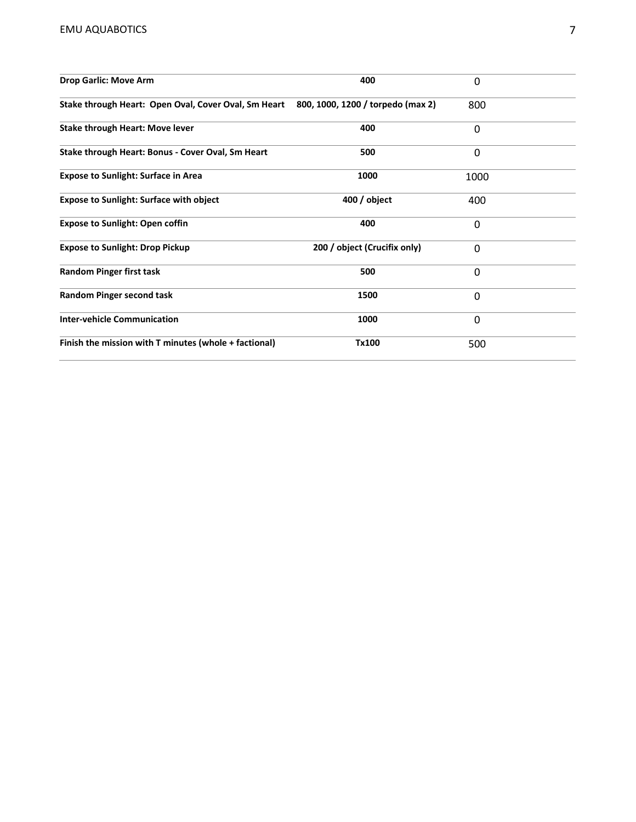| <b>Drop Garlic: Move Arm</b>                                                           | 400                          | 0        |  |
|----------------------------------------------------------------------------------------|------------------------------|----------|--|
| Stake through Heart: Open Oval, Cover Oval, Sm Heart 800, 1000, 1200 / torpedo (max 2) |                              | 800      |  |
| <b>Stake through Heart: Move lever</b>                                                 | 400                          | 0        |  |
| Stake through Heart: Bonus - Cover Oval, Sm Heart                                      | 500                          | 0        |  |
| <b>Expose to Sunlight: Surface in Area</b>                                             | 1000                         | 1000     |  |
| <b>Expose to Sunlight: Surface with object</b>                                         | $400/$ object                | 400      |  |
| <b>Expose to Sunlight: Open coffin</b>                                                 | 400                          | 0        |  |
| <b>Expose to Sunlight: Drop Pickup</b>                                                 | 200 / object (Crucifix only) | $\Omega$ |  |
| <b>Random Pinger first task</b>                                                        | 500                          | 0        |  |
| <b>Random Pinger second task</b>                                                       | 1500                         | 0        |  |
| <b>Inter-vehicle Communication</b>                                                     | 1000                         | 0        |  |
| Finish the mission with T minutes (whole + factional)                                  | Tx100                        | 500      |  |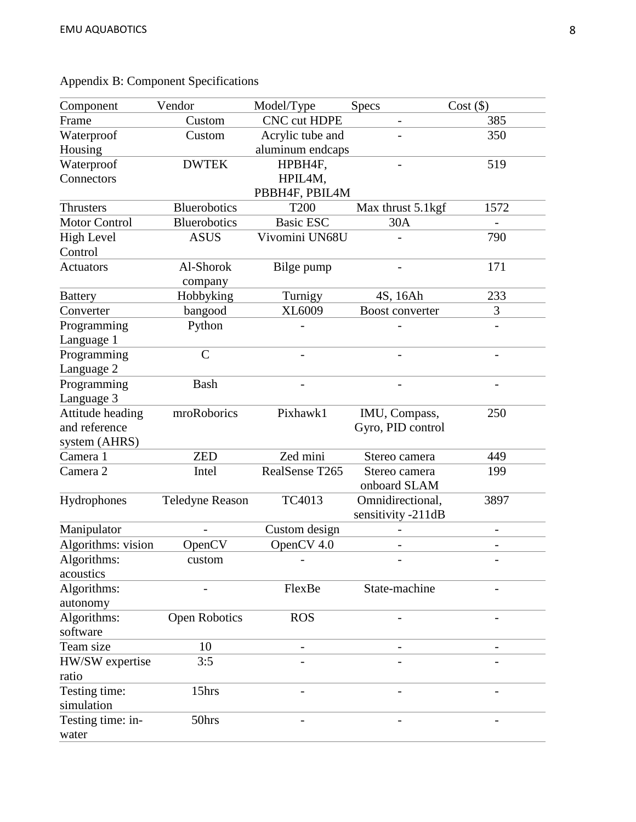| Component            | Vendor              | Model/Type          | <b>Specs</b>       | $Cost (\$)$ |
|----------------------|---------------------|---------------------|--------------------|-------------|
| Frame                | Custom              | <b>CNC cut HDPE</b> | $\qquad \qquad -$  | 385         |
| Waterproof           | Custom              | Acrylic tube and    |                    | 350         |
| Housing              |                     | aluminum endcaps    |                    |             |
| Waterproof           | <b>DWTEK</b>        | HPBH4F,             |                    | 519         |
| Connectors           |                     | HPIL4M,             |                    |             |
|                      |                     | PBBH4F, PBIL4M      |                    |             |
| <b>Thrusters</b>     | <b>Bluerobotics</b> | <b>T200</b>         | Max thrust 5.1kgf  | 1572        |
| <b>Motor Control</b> | <b>Bluerobotics</b> | <b>Basic ESC</b>    | 30A                |             |
| <b>High Level</b>    | <b>ASUS</b>         | Vivomini UN68U      |                    | 790         |
| Control              |                     |                     |                    |             |
| <b>Actuators</b>     | Al-Shorok           | Bilge pump          |                    | 171         |
|                      | company             |                     |                    |             |
| <b>Battery</b>       | Hobbyking           | Turnigy             | 4S, 16Ah           | 233         |
| Converter            | bangood             | XL6009              | Boost converter    | 3           |
| Programming          | Python              |                     |                    |             |
| Language 1           |                     |                     |                    |             |
| Programming          | $\mathcal{C}$       |                     |                    |             |
| Language 2           |                     |                     |                    |             |
| Programming          | Bash                |                     |                    |             |
| Language 3           |                     |                     |                    |             |
| Attitude heading     | mroRoborics         | Pixhawk1            | IMU, Compass,      | 250         |
| and reference        |                     |                     | Gyro, PID control  |             |
| system (AHRS)        |                     |                     |                    |             |
| Camera 1             | <b>ZED</b>          | Zed mini            | Stereo camera      | 449         |
| Camera 2             | Intel               | RealSense T265      | Stereo camera      | 199         |
|                      |                     |                     | onboard SLAM       |             |
| Hydrophones          | Teledyne Reason     | TC4013              | Omnidirectional,   | 3897        |
|                      |                     |                     | sensitivity -211dB |             |
| Manipulator          |                     | Custom design       |                    | -           |
| Algorithms: vision   | OpenCV              | OpenCV 4.0          |                    | -           |
| Algorithms:          | custom              |                     |                    |             |
| acoustics            |                     |                     |                    |             |
| Algorithms:          |                     | FlexBe              | State-machine      |             |
| autonomy             |                     |                     |                    |             |
| Algorithms:          | Open Robotics       | <b>ROS</b>          |                    |             |
| software             |                     |                     |                    |             |
| Team size            | 10                  |                     |                    |             |
| HW/SW expertise      | 3:5                 |                     |                    |             |
| ratio                |                     |                     |                    |             |
| Testing time:        | 15hrs               |                     |                    |             |
| simulation           |                     |                     |                    |             |
| Testing time: in-    | 50hrs               |                     |                    |             |
| water                |                     |                     |                    |             |

# Appendix B: Component Specifications